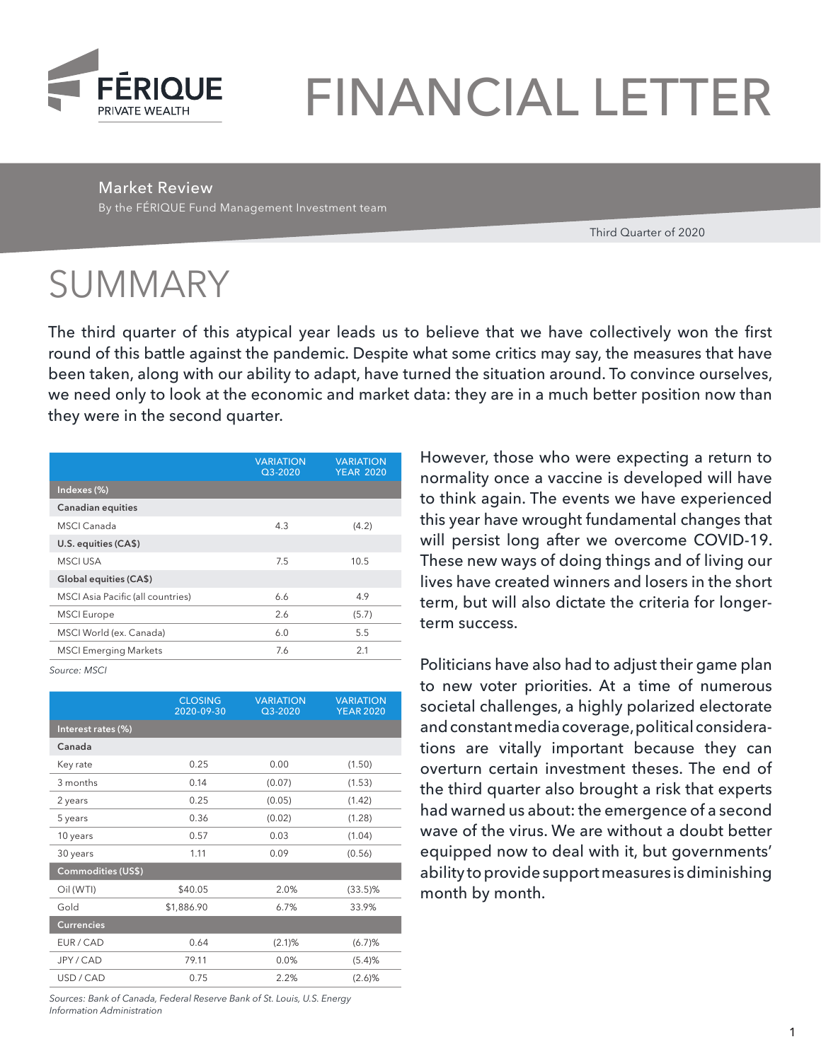

# FINANCIAL LETTER

Market Review

By the FÉRIQUE Fund Management Investment team

Third Quarter of 2020

# SUMMARY

The third quarter of this atypical year leads us to believe that we have collectively won the first round of this battle against the pandemic. Despite what some critics may say, the measures that have been taken, along with our ability to adapt, have turned the situation around. To convince ourselves, we need only to look at the economic and market data: they are in a much better position now than they were in the second quarter.

| <b>VARIATION</b><br>$Q3-2020$ | <b>VARIATION</b><br><b>YEAR 2020</b> |
|-------------------------------|--------------------------------------|
|                               |                                      |
|                               |                                      |
| 4.3                           | (4.2)                                |
|                               |                                      |
| 7.5                           | 10.5                                 |
|                               |                                      |
| 6.6                           | 4.9                                  |
| 2.6                           | (5.7)                                |
| 6.0                           | 5.5                                  |
| 7.6                           | 2.1                                  |
|                               |                                      |

*Source: MSCI*

|                           | <b>CLOSING</b><br><b>VARIATION</b><br>2020-09-30<br>$Q3 - 2020$ |        | <b>VARIATION</b><br><b>YEAR 2020</b> |  |
|---------------------------|-----------------------------------------------------------------|--------|--------------------------------------|--|
| Interest rates (%)        |                                                                 |        |                                      |  |
| Canada                    |                                                                 |        |                                      |  |
| Key rate                  | 0.25                                                            | 0.00   |                                      |  |
| 3 months                  | 0.14                                                            | (0.07) | (1.53)                               |  |
| 2 years                   | 0.25                                                            | (0.05) | (1.42)                               |  |
| 5 years                   | 0.36                                                            | (0.02) | (1.28)                               |  |
| 10 years                  | 0.57                                                            | 0.03   | (1.04)                               |  |
| 30 years                  | 1.11                                                            | 0.09   | (0.56)                               |  |
| <b>Commodities (US\$)</b> |                                                                 |        |                                      |  |
| Oil (WTI)                 | \$40.05                                                         | 2.0%   | $(33.5)\%$                           |  |
| Gold                      | \$1,886.90                                                      | 6.7%   | 33.9%                                |  |
| <b>Currencies</b>         |                                                                 |        |                                      |  |
| EUR / CAD                 | 0.64                                                            | (2.1)% | (6.7)%                               |  |
| JPY / CAD                 | 79.11                                                           | 0.0%   | (5.4)%                               |  |
| USD / CAD                 | 0.75                                                            | 2.2%   | (2.6)%                               |  |

*Sources: Bank of Canada, Federal Reserve Bank of St. Louis, U.S. Energy Information Administration*

However, those who were expecting a return to normality once a vaccine is developed will have to think again. The events we have experienced this year have wrought fundamental changes that will persist long after we overcome COVID-19. These new ways of doing things and of living our lives have created winners and losers in the short term, but will also dictate the criteria for longerterm success.

Politicians have also had to adjust their game plan to new voter priorities. At a time of numerous societal challenges, a highly polarized electorate and constant media coverage, political considerations are vitally important because they can overturn certain investment theses. The end of the third quarter also brought a risk that experts had warned us about: the emergence of a second wave of the virus. We are without a doubt better equipped now to deal with it, but governments' ability to provide support measures is diminishing month by month.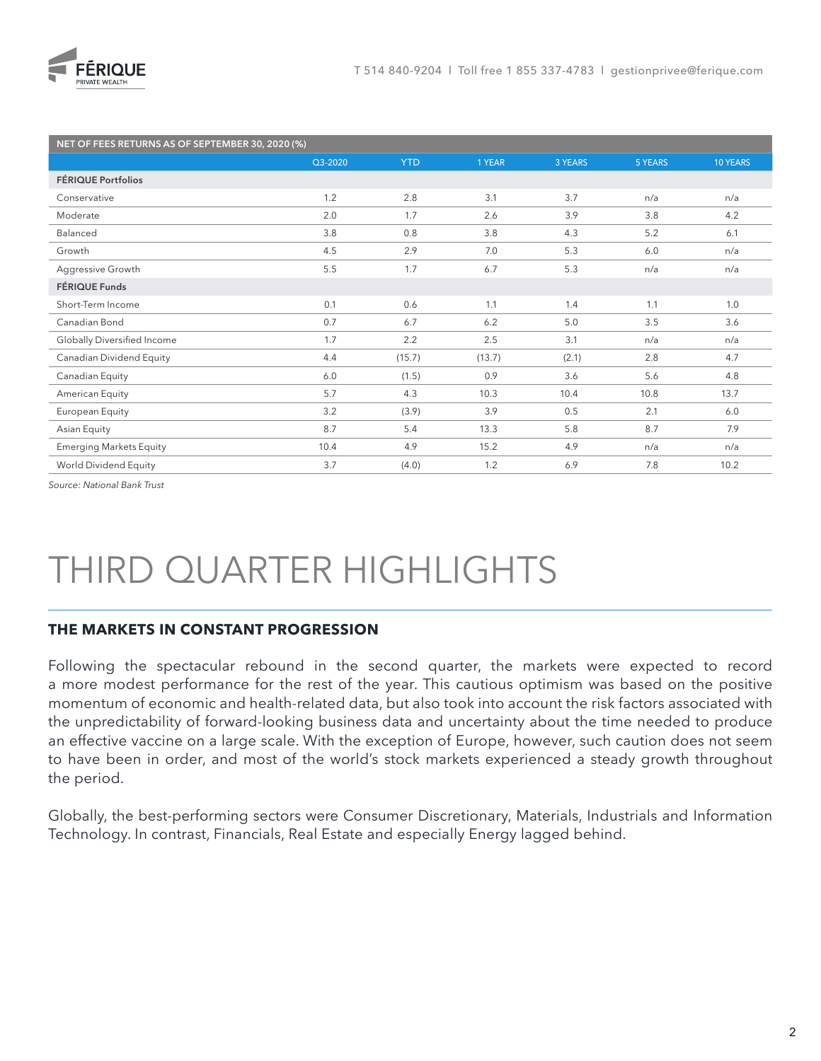

| NET OF FEES RETURNS AS OF SEPTEMBER 30, 2020 (%) |         |            |        |         |         |          |
|--------------------------------------------------|---------|------------|--------|---------|---------|----------|
|                                                  | Q3-2020 | <b>YTD</b> | 1 YEAR | 3 YEARS | 5 YEARS | 10 YEARS |
| FÉRIQUE Portfolios                               |         |            |        |         |         |          |
| Conservative                                     | 1.2     | 2.8        | 3.1    | 3.7     | n/a     | n/a      |
| Moderate                                         | 2.0     | 1.7        | 2.6    | 3.9     | 3.8     | 4.2      |
| Balanced                                         | 3.8     | 0.8        | 3.8    | 4.3     | 5.2     | 6.1      |
| Growth                                           | 4.5     | 2.9        | 7.0    | 5.3     | 6.0     | n/a      |
| Aggressive Growth                                | 5.5     | 1.7        | 6.7    | 5.3     | n/a     | n/a      |
| FÉRIQUE Funds                                    |         |            |        |         |         |          |
| Short-Term Income                                | 0.1     | 0.6        | 1.1    | 1.4     | 1.1     | 1.0      |
| Canadian Bond                                    | 0.7     | 6.7        | 6.2    | 5.0     | 3.5     | 3.6      |
| Globally Diversified Income                      | 1.7     | 2.2        | 2.5    | 3.1     | n/a     | n/a      |
| Canadian Dividend Equity                         | 4.4     | (15.7)     | (13.7) | (2.1)   | 2.8     | 4.7      |
| Canadian Equity                                  | 6.0     | (1.5)      | 0.9    | 3.6     | 5.6     | 4.8      |
| American Equity                                  | 5.7     | 4.3        | 10.3   | 10.4    | 10.8    | 13.7     |
| European Equity                                  | 3.2     | (3.9)      | 3.9    | 0.5     | 2.1     | 6.0      |
| Asian Equity                                     | 8.7     | 5.4        | 13.3   | 5.8     | 8.7     | 7.9      |
| <b>Emerging Markets Equity</b>                   | 10.4    | 4.9        | 15.2   | 4.9     | n/a     | n/a      |
| World Dividend Equity                            | 3.7     | (4.0)      | 1.2    | 6.9     | 7.8     | 10.2     |

*Source: National Bank Trust*

# THIRD QUARTER HIGHLIGHTS

#### **THE MARKETS IN CONSTANT PROGRESSION**

Following the spectacular rebound in the second quarter, the markets were expected to record a more modest performance for the rest of the year. This cautious optimism was based on the positive momentum of economic and health-related data, but also took into account the risk factors associated with the unpredictability of forward-looking business data and uncertainty about the time needed to produce an effective vaccine on a large scale. With the exception of Europe, however, such caution does not seem to have been in order, and most of the world's stock markets experienced a steady growth throughout the period.

Globally, the best-performing sectors were Consumer Discretionary, Materials, Industrials and Information Technology. In contrast, Financials, Real Estate and especially Energy lagged behind.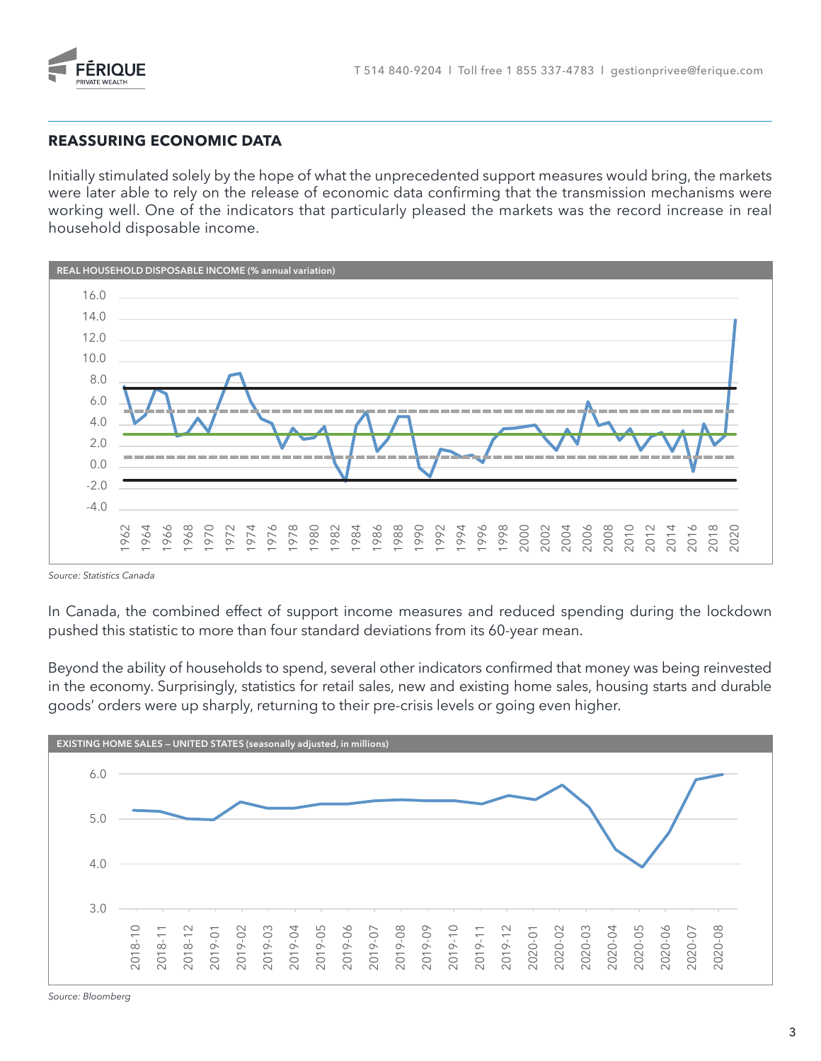

#### **REASSURING ECONOMIC DATA**

Initially stimulated solely by the hope of what the unprecedented support measures would bring, the markets were later able to rely on the release of economic data confirming that the transmission mechanisms were working well. One of the indicators that particularly pleased the markets was the record increase in real household disposable income.



*Source: Statistics Canada*

In Canada, the combined effect of support income measures and reduced spending during the lockdown pushed this statistic to more than four standard deviations from its 60-year mean.

7.0 goods' orders were up sharply, returning to their pre-crisis levels or going even higher. Beyond the ability of households to spend, several other indicators confirmed that money was being reinvested in the economy. Surprisingly, statistics for retail sales, new and existing home sales, housing starts and durable



*Source: Bloomberg*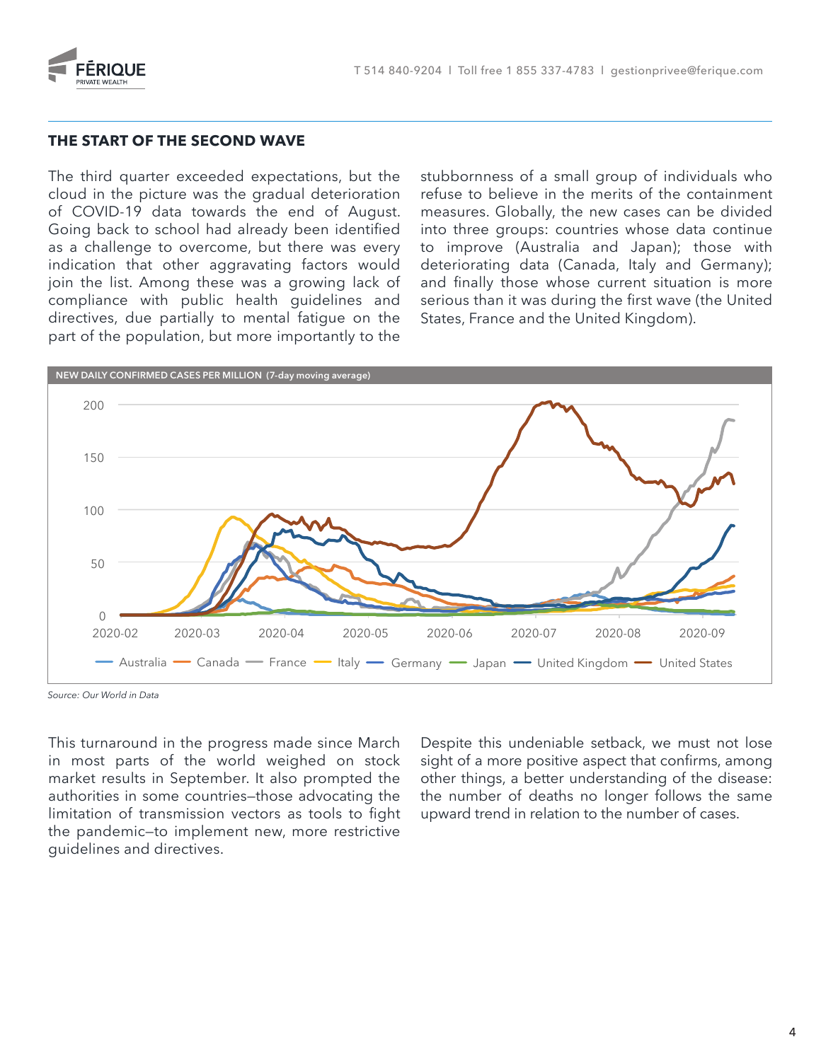

#### THE START OF THE SECOND WAVE

The third quarter exceeded expectations, but the cloud in the picture was the gradual deterioration of COVID-19 data towards the end of August. Going back to school had already been identified as a challenge to overcome, but there was every indication that other aggravating factors would join the list. Among these was a growing lack of compliance with public health guidelines and directives, due partially to mental fatigue on the part of the population, but more importantly to the nge to overcome, but there was every<br>hat other aggravating factors would<br>. Among these was a growing lack of

stubbornness of a small group of individuals who refuse to believe in the merits of the containment measures. Globally, the new cases can be divided into three groups: countries whose data continue to improve (Australia and Japan); those with deteriorating data (Canada, Italy and Germany); and finally those whose current situation is more serious than it was during the first wave (the United States, France and the United Kingdom). to improve (Australia and Japan); thos<br>deteriorating data (Canada, Italy and Ge<br>and finally those whose current situation i



*Source: Our World in Data*

This turnaround in the progress made since March in most parts of the world weighed on stock market results in September. It also prompted the authorities in some countries—those advocating the limitation of transmission vectors as tools to fight the pandemic—to implement new, more restrictive guidelines and directives.

Despite this undeniable setback, we must not lose sight of a more positive aspect that confirms, among other things, a better understanding of the disease: the number of deaths no longer follows the same upward trend in relation to the number of cases.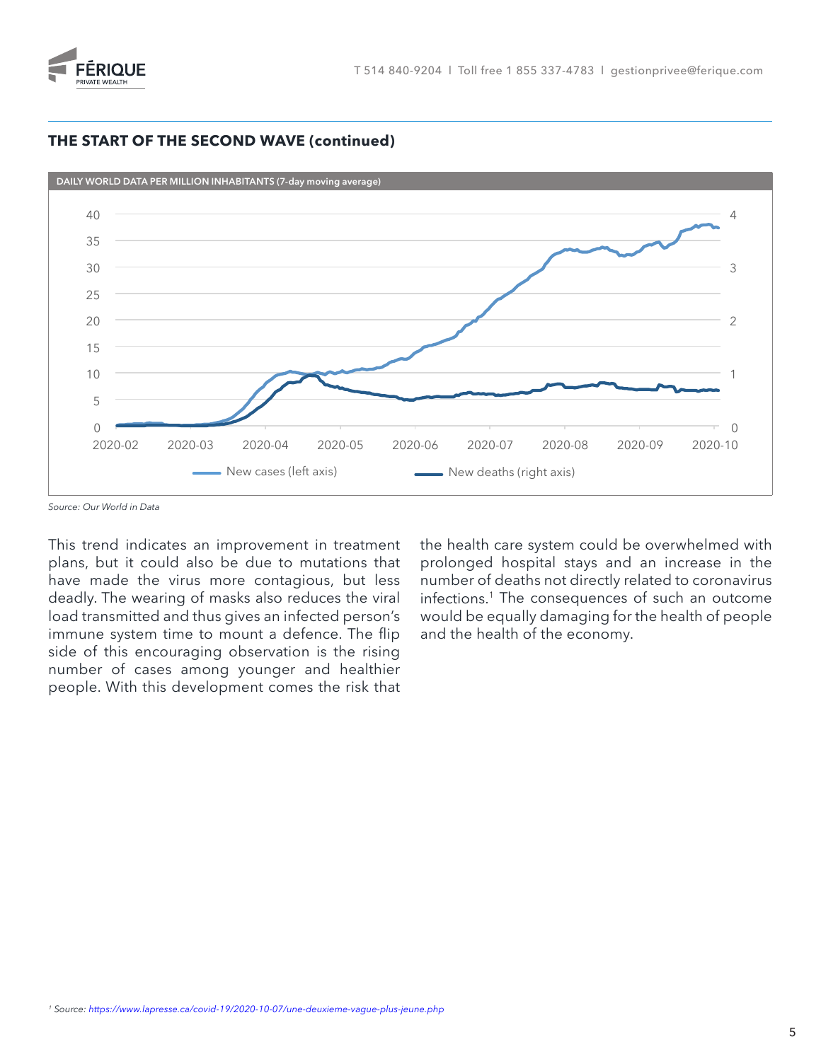

#### **THE START OF THE SECOND WAVE (continued)**



*Source: Our World in Data*

This trend indicates an improvement in treatment plans, but it could also be due to mutations that have made the virus more contagious, but less deadly. The wearing of masks also reduces the viral 13 load transmitted and thus gives an infected person's immune system time to mount a defence. The flip side of this encouraging observation is the rising number of cases among younger and healthier people. With this development comes the risk that

the health care system could be overwhelmed with prolonged hospital stays and an increase in the number of deaths not directly related to coronavirus infections.<sup>1</sup> The consequences of such an outcome would be equally damaging for the health of people and the health of the economy.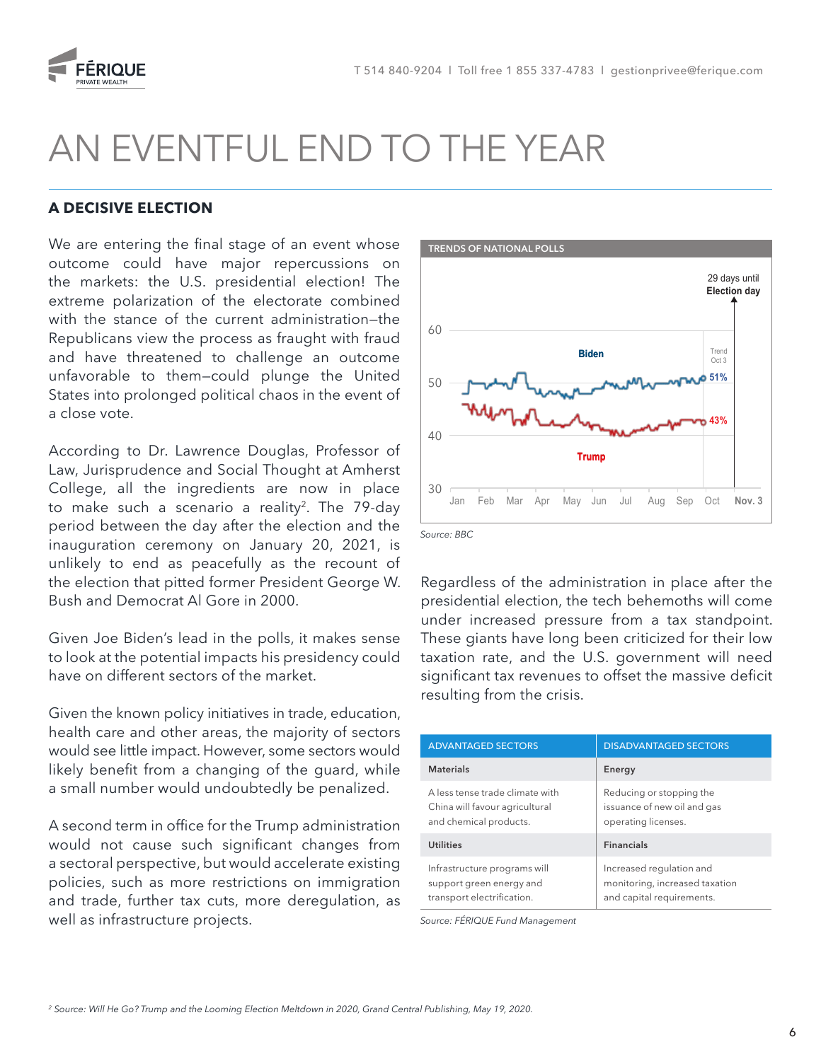

## AN EVENTFUL END TO THE YEAR

#### **A DECISIVE ELECTION**

We are entering the final stage of an event whose outcome could have major repercussions on the markets: the U.S. presidential election! The extreme polarization of the electorate combined with the stance of the current administration—the Republicans view the process as fraught with fraud and have threatened to challenge an outcome unfavorable to them—could plunge the United States into prolonged political chaos in the event of a close vote.

According to Dr. Lawrence Douglas, Professor of Law, Jurisprudence and Social Thought at Amherst College, all the ingredients are now in place to make such a scenario a reality<sup>2</sup>. The 79-day period between the day after the election and the inauguration ceremony on January 20, 2021, is unlikely to end as peacefully as the recount of the election that pitted former President George W. Bush and Democrat Al Gore in 2000.

Given Joe Biden's lead in the polls, it makes sense to look at the potential impacts his presidency could have on different sectors of the market.

Given the known policy initiatives in trade, education, health care and other areas, the majority of sectors would see little impact. However, some sectors would likely benefit from a changing of the guard, while a small number would undoubtedly be penalized.

A second term in office for the Trump administration would not cause such significant changes from a sectoral perspective, but would accelerate existing policies, such as more restrictions on immigration and trade, further tax cuts, more deregulation, as well as infrastructure projects.



*Source: BBC*

Regardless of the administration in place after the presidential election, the tech behemoths will come under increased pressure from a tax standpoint. These giants have long been criticized for their low taxation rate, and the U.S. government will need significant tax revenues to offset the massive deficit resulting from the crisis.

| <b>ADVANTAGED SECTORS</b>                                                                   | <b>DISADVANTAGED SECTORS</b>                                                            |
|---------------------------------------------------------------------------------------------|-----------------------------------------------------------------------------------------|
| <b>Materials</b>                                                                            | Energy                                                                                  |
| A less tense trade climate with<br>China will favour agricultural<br>and chemical products. | Reducing or stopping the<br>issuance of new oil and gas<br>operating licenses.          |
| <b>Utilities</b>                                                                            | <b>Financials</b>                                                                       |
| Infrastructure programs will<br>support green energy and<br>transport electrification.      | Increased regulation and<br>monitoring, increased taxation<br>and capital requirements. |

*Source: FÉRIQUE Fund Management*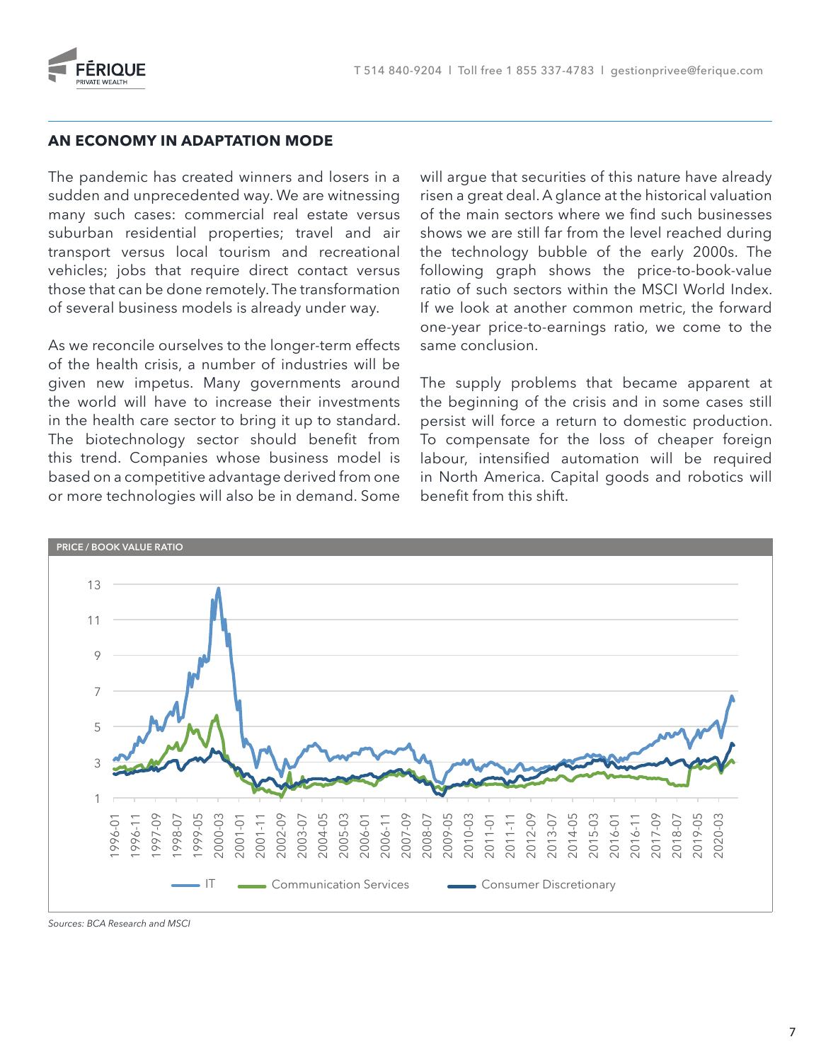

#### **AN ECONOMY IN ADAPTATION MODE**

The pandemic has created winners and losers in a sudden and unprecedented way. We are witnessing 40 many such cases: commercial real estate versus suburban residential properties; travel and air transport versus local tourism and recreational 30 vehicles; jobs that require direct contact versus those that can be done remotely. The transformation 25 of several business models is already under way. 20

As we reconcile ourselves to the longer-term effects of the health crisis, a number of industries will be given new impetus. Many governments around 5 the world will have to increase their investments in the health care sector to bring it up to standard. The biotechnology sector should benefit from this trend. Companies whose business model is labour, intensified au based on a competitive advantage derived from one or more technologies will also be in demand. Some

will argue that securities of this nature have already risen a great deal. A glance at the historical valuation 4 of the main sectors where we find such businesses shows we are still far from the level reached during the technology bubble of the early 2000s. The 3 following graph shows the price-to-book-value ratio of such sectors within the MSCI World Index. If we look at another common metric, the forward one-year price-to-earnings ratio, we come to the same conclusion.

The supply problems that became apparent at the beginning of the crisis and in some cases still persist will force a return to domestic production. To card the course to bring the problem and position in to the complete problem problem. labour, intensified automation will be required in North America. Capital goods and robotics will benefit from this shift.



*Sources: BCA Research and MSCI*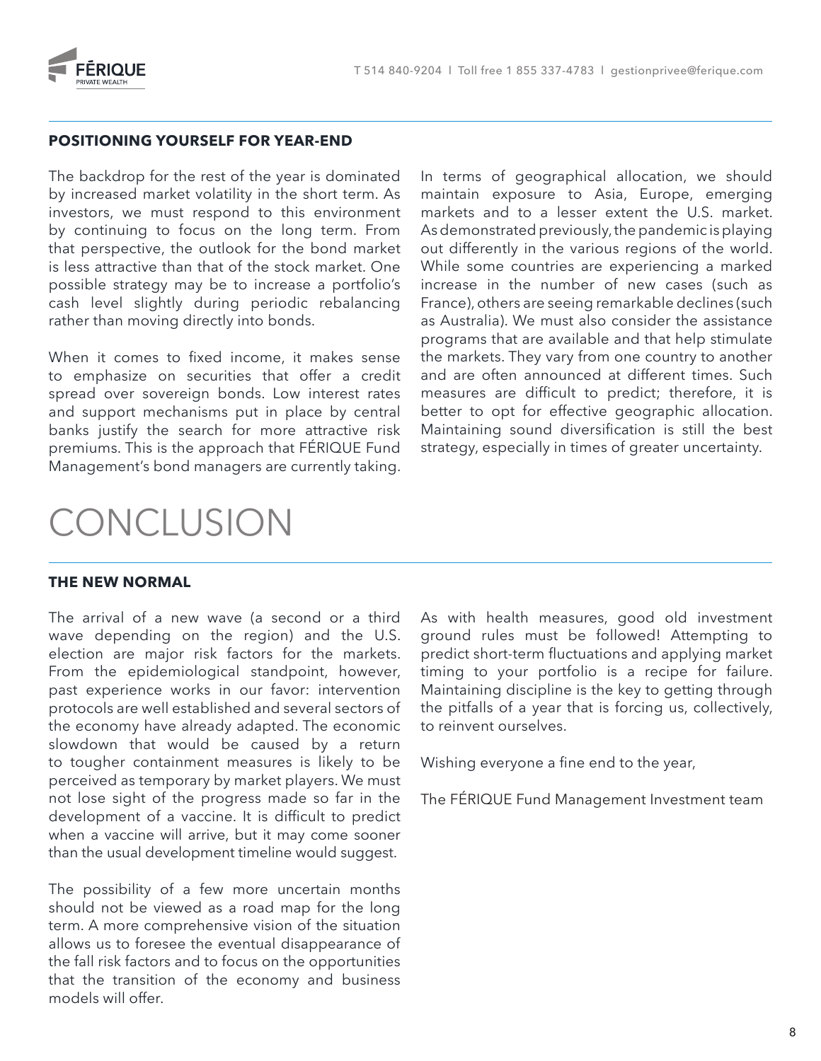

#### **POSITIONING YOURSELF FOR YEAR-END**

The backdrop for the rest of the year is dominated by increased market volatility in the short term. As investors, we must respond to this environment by continuing to focus on the long term. From that perspective, the outlook for the bond market is less attractive than that of the stock market. One possible strategy may be to increase a portfolio's cash level slightly during periodic rebalancing rather than moving directly into bonds.

When it comes to fixed income, it makes sense to emphasize on securities that offer a credit spread over sovereign bonds. Low interest rates and support mechanisms put in place by central banks justify the search for more attractive risk premiums. This is the approach that FÉRIQUE Fund Management's bond managers are currently taking.

In terms of geographical allocation, we should maintain exposure to Asia, Europe, emerging markets and to a lesser extent the U.S. market. As demonstrated previously, the pandemic is playing out differently in the various regions of the world. While some countries are experiencing a marked increase in the number of new cases (such as France), others are seeing remarkable declines (such as Australia). We must also consider the assistance programs that are available and that help stimulate the markets. They vary from one country to another and are often announced at different times. Such measures are difficult to predict; therefore, it is better to opt for effective geographic allocation. Maintaining sound diversification is still the best strategy, especially in times of greater uncertainty.

### **CONCLUSION**

#### **THE NEW NORMAL**

The arrival of a new wave (a second or a third wave depending on the region) and the U.S. election are major risk factors for the markets. From the epidemiological standpoint, however, past experience works in our favor: intervention protocols are well established and several sectors of the economy have already adapted. The economic slowdown that would be caused by a return to tougher containment measures is likely to be perceived as temporary by market players. We must not lose sight of the progress made so far in the development of a vaccine. It is difficult to predict when a vaccine will arrive, but it may come sooner than the usual development timeline would suggest.

The possibility of a few more uncertain months should not be viewed as a road map for the long term. A more comprehensive vision of the situation allows us to foresee the eventual disappearance of the fall risk factors and to focus on the opportunities that the transition of the economy and business models will offer.

As with health measures, good old investment ground rules must be followed! Attempting to predict short-term fluctuations and applying market timing to your portfolio is a recipe for failure. Maintaining discipline is the key to getting through the pitfalls of a year that is forcing us, collectively, to reinvent ourselves.

Wishing everyone a fine end to the year,

The FÉRIQUE Fund Management Investment team